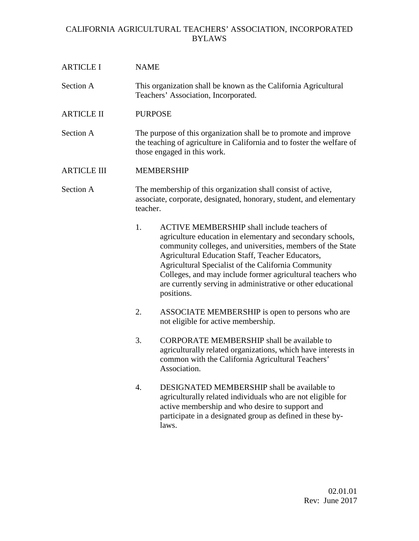# CALIFORNIA AGRICULTURAL TEACHERS' ASSOCIATION, INCORPORATED BYLAWS

| <b>ARTICLE I</b>   | <b>NAME</b>                                                                                                                                                                                                                                                                                                                                                                                                                                 |
|--------------------|---------------------------------------------------------------------------------------------------------------------------------------------------------------------------------------------------------------------------------------------------------------------------------------------------------------------------------------------------------------------------------------------------------------------------------------------|
| Section A          | This organization shall be known as the California Agricultural                                                                                                                                                                                                                                                                                                                                                                             |
|                    | Teachers' Association, Incorporated.                                                                                                                                                                                                                                                                                                                                                                                                        |
| <b>ARTICLE II</b>  | <b>PURPOSE</b>                                                                                                                                                                                                                                                                                                                                                                                                                              |
| Section A          | The purpose of this organization shall be to promote and improve<br>the teaching of agriculture in California and to foster the welfare of<br>those engaged in this work.                                                                                                                                                                                                                                                                   |
| <b>ARTICLE III</b> | <b>MEMBERSHIP</b>                                                                                                                                                                                                                                                                                                                                                                                                                           |
| Section A          | The membership of this organization shall consist of active,<br>associate, corporate, designated, honorary, student, and elementary<br>teacher.                                                                                                                                                                                                                                                                                             |
|                    | 1.<br><b>ACTIVE MEMBERSHIP shall include teachers of</b><br>agriculture education in elementary and secondary schools,<br>community colleges, and universities, members of the State<br>Agricultural Education Staff, Teacher Educators,<br>Agricultural Specialist of the California Community<br>Colleges, and may include former agricultural teachers who<br>are currently serving in administrative or other educational<br>positions. |
|                    | 2.<br>ASSOCIATE MEMBERSHIP is open to persons who are<br>not eligible for active membership.                                                                                                                                                                                                                                                                                                                                                |
|                    | 3.<br><b>CORPORATE MEMBERSHIP shall be available to</b><br>agriculturally related organizations, which have interests in<br>common with the California Agricultural Teachers'<br>Association.                                                                                                                                                                                                                                               |
|                    | 4.<br>DESIGNATED MEMBERSHIP shall be available to<br>agriculturally related individuals who are not eligible for<br>active membership and who desire to support and<br>participate in a designated group as defined in these by-<br>laws.                                                                                                                                                                                                   |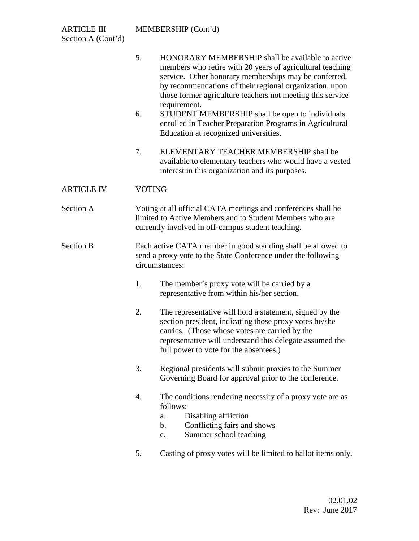- 5. HONORARY MEMBERSHIP shall be available to active members who retire with 20 years of agricultural teaching service. Other honorary memberships may be conferred, by recommendations of their regional organization, upon those former agriculture teachers not meeting this service requirement.
	- 6. STUDENT MEMBERSHIP shall be open to individuals enrolled in Teacher Preparation Programs in Agricultural Education at recognized universities.
	- 7. ELEMENTARY TEACHER MEMBERSHIP shall be available to elementary teachers who would have a vested interest in this organization and its purposes.

### ARTICLE IV VOTING

- Section A Voting at all official CATA meetings and conferences shall be limited to Active Members and to Student Members who are currently involved in off-campus student teaching.
- Section B Each active CATA member in good standing shall be allowed to send a proxy vote to the State Conference under the following circumstances:
	- 1. The member's proxy vote will be carried by a representative from within his/her section.
	- 2. The representative will hold a statement, signed by the section president, indicating those proxy votes he/she carries. (Those whose votes are carried by the representative will understand this delegate assumed the full power to vote for the absentees.)
	- 3. Regional presidents will submit proxies to the Summer Governing Board for approval prior to the conference.
	- 4. The conditions rendering necessity of a proxy vote are as follows:
		- a. Disabling affliction
		- b. Conflicting fairs and shows
		- c. Summer school teaching
	- 5. Casting of proxy votes will be limited to ballot items only.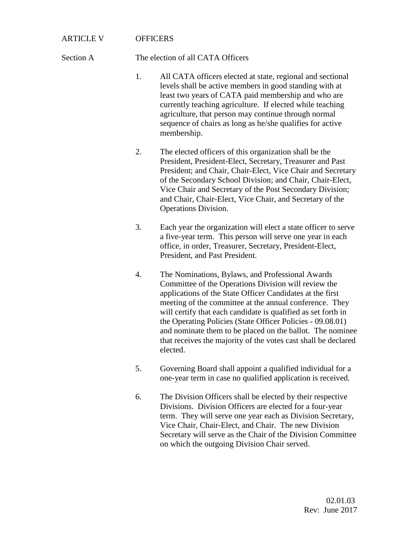### ARTICLE V OFFICERS

#### Section A The election of all CATA Officers

- 1. All CATA officers elected at state, regional and sectional levels shall be active members in good standing with at least two years of CATA paid membership and who are currently teaching agriculture. If elected while teaching agriculture, that person may continue through normal sequence of chairs as long as he/she qualifies for active membership.
- 2. The elected officers of this organization shall be the President, President-Elect, Secretary, Treasurer and Past President; and Chair, Chair-Elect, Vice Chair and Secretary of the Secondary School Division; and Chair, Chair-Elect, Vice Chair and Secretary of the Post Secondary Division; and Chair, Chair-Elect, Vice Chair, and Secretary of the Operations Division.
- 3. Each year the organization will elect a state officer to serve a five-year term. This person will serve one year in each office, in order, Treasurer, Secretary, President-Elect, President, and Past President.
- 4. The Nominations, Bylaws, and Professional Awards Committee of the Operations Division will review the applications of the State Officer Candidates at the first meeting of the committee at the annual conference. They will certify that each candidate is qualified as set forth in the Operating Policies (State Officer Policies - 09.08.01) and nominate them to be placed on the ballot. The nominee that receives the majority of the votes cast shall be declared elected.
- 5. Governing Board shall appoint a qualified individual for a one-year term in case no qualified application is received.
- 6. The Division Officers shall be elected by their respective Divisions. Division Officers are elected for a four-year term. They will serve one year each as Division Secretary, Vice Chair, Chair-Elect, and Chair. The new Division Secretary will serve as the Chair of the Division Committee on which the outgoing Division Chair served.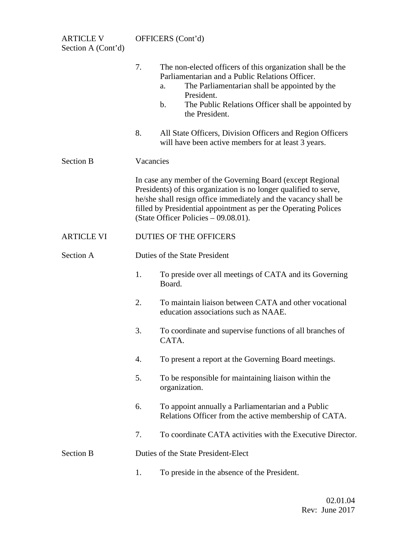| <b>ARTICLE V</b><br>Section A (Cont'd) |           | OFFICERS (Cont'd)                                                                                                                                                                                                                                                                                             |
|----------------------------------------|-----------|---------------------------------------------------------------------------------------------------------------------------------------------------------------------------------------------------------------------------------------------------------------------------------------------------------------|
|                                        | 7.        | The non-elected officers of this organization shall be the<br>Parliamentarian and a Public Relations Officer.<br>The Parliamentarian shall be appointed by the<br>a.<br>President.<br>The Public Relations Officer shall be appointed by<br>$\mathbf b$ .<br>the President.                                   |
|                                        | 8.        | All State Officers, Division Officers and Region Officers<br>will have been active members for at least 3 years.                                                                                                                                                                                              |
| <b>Section B</b>                       | Vacancies |                                                                                                                                                                                                                                                                                                               |
|                                        |           | In case any member of the Governing Board (except Regional<br>Presidents) of this organization is no longer qualified to serve,<br>he/she shall resign office immediately and the vacancy shall be<br>filled by Presidential appointment as per the Operating Polices<br>(State Officer Policies – 09.08.01). |
| <b>ARTICLE VI</b>                      |           | <b>DUTIES OF THE OFFICERS</b>                                                                                                                                                                                                                                                                                 |
| Section A                              |           | Duties of the State President                                                                                                                                                                                                                                                                                 |
|                                        | 1.        | To preside over all meetings of CATA and its Governing<br>Board.                                                                                                                                                                                                                                              |
|                                        | 2.        | To maintain liaison between CATA and other vocational<br>education associations such as NAAE.                                                                                                                                                                                                                 |
|                                        | 3.        | To coordinate and supervise functions of all branches of<br>CATA.                                                                                                                                                                                                                                             |
|                                        | 4.        | To present a report at the Governing Board meetings.                                                                                                                                                                                                                                                          |
|                                        | 5.        | To be responsible for maintaining liaison within the<br>organization.                                                                                                                                                                                                                                         |
|                                        | 6.        | To appoint annually a Parliamentarian and a Public<br>Relations Officer from the active membership of CATA.                                                                                                                                                                                                   |
|                                        | 7.        | To coordinate CATA activities with the Executive Director.                                                                                                                                                                                                                                                    |
| <b>Section B</b>                       |           | Duties of the State President-Elect                                                                                                                                                                                                                                                                           |
|                                        | 1.        | To preside in the absence of the President.                                                                                                                                                                                                                                                                   |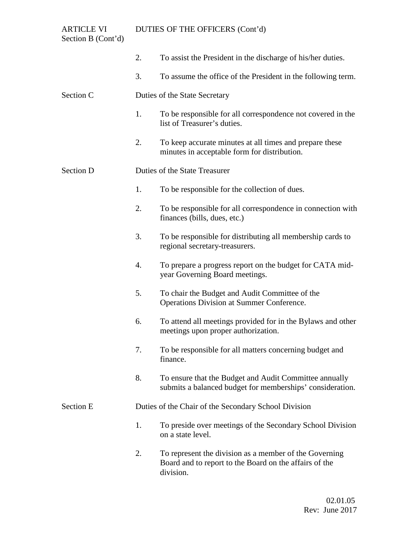Section B (Cont'd)

ARTICLE VI DUTIES OF THE OFFICERS (Cont'd)

| $\text{Section D}$ (Coin a) |                                                      |                                                                                                                               |  |
|-----------------------------|------------------------------------------------------|-------------------------------------------------------------------------------------------------------------------------------|--|
|                             | 2.                                                   | To assist the President in the discharge of his/her duties.                                                                   |  |
|                             | 3.                                                   | To assume the office of the President in the following term.                                                                  |  |
| Section C                   |                                                      | Duties of the State Secretary                                                                                                 |  |
|                             | 1.                                                   | To be responsible for all correspondence not covered in the<br>list of Treasurer's duties.                                    |  |
|                             | 2.                                                   | To keep accurate minutes at all times and prepare these<br>minutes in acceptable form for distribution.                       |  |
| <b>Section D</b>            |                                                      | Duties of the State Treasurer                                                                                                 |  |
|                             | 1.                                                   | To be responsible for the collection of dues.                                                                                 |  |
|                             | 2.                                                   | To be responsible for all correspondence in connection with<br>finances (bills, dues, etc.)                                   |  |
|                             | 3.                                                   | To be responsible for distributing all membership cards to<br>regional secretary-treasurers.                                  |  |
|                             | 4.                                                   | To prepare a progress report on the budget for CATA mid-<br>year Governing Board meetings.                                    |  |
|                             | 5.                                                   | To chair the Budget and Audit Committee of the<br>Operations Division at Summer Conference.                                   |  |
|                             | 6.                                                   | To attend all meetings provided for in the Bylaws and other<br>meetings upon proper authorization.                            |  |
|                             | 7.                                                   | To be responsible for all matters concerning budget and<br>finance.                                                           |  |
|                             | 8.                                                   | To ensure that the Budget and Audit Committee annually<br>submits a balanced budget for memberships' consideration.           |  |
| Section E                   | Duties of the Chair of the Secondary School Division |                                                                                                                               |  |
|                             | 1.                                                   | To preside over meetings of the Secondary School Division<br>on a state level.                                                |  |
|                             | 2.                                                   | To represent the division as a member of the Governing<br>Board and to report to the Board on the affairs of the<br>division. |  |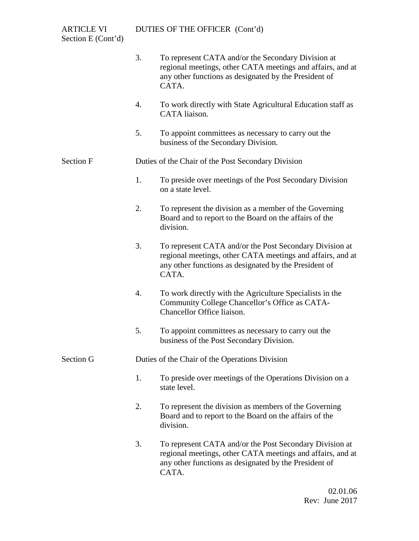|                  | s. | To represent CATA and/or the Secondary Division at<br>regional meetings, other CATA meetings and affairs, and at<br>any other functions as designated by the President of<br>CATA.      |
|------------------|----|-----------------------------------------------------------------------------------------------------------------------------------------------------------------------------------------|
|                  | 4. | To work directly with State Agricultural Education staff as<br>CATA liaison.                                                                                                            |
|                  | 5. | To appoint committees as necessary to carry out the<br>business of the Secondary Division.                                                                                              |
| <b>Section F</b> |    | Duties of the Chair of the Post Secondary Division                                                                                                                                      |
|                  | 1. | To preside over meetings of the Post Secondary Division<br>on a state level.                                                                                                            |
|                  | 2. | To represent the division as a member of the Governing<br>Board and to report to the Board on the affairs of the<br>division.                                                           |
|                  | 3. | To represent CATA and/or the Post Secondary Division at<br>regional meetings, other CATA meetings and affairs, and at<br>any other functions as designated by the President of<br>CATA. |
|                  | 4. | To work directly with the Agriculture Specialists in the<br>Community College Chancellor's Office as CATA-<br>Chancellor Office liaison.                                                |
|                  | 5. | To appoint committees as necessary to carry out the<br>business of the Post Secondary Division.                                                                                         |
| Section G        |    | Duties of the Chair of the Operations Division                                                                                                                                          |
|                  | 1. | To preside over meetings of the Operations Division on a<br>state level.                                                                                                                |
|                  | 2. | To represent the division as members of the Governing<br>Board and to report to the Board on the affairs of the<br>division.                                                            |
|                  | 3. | To represent CATA and/or the Post Secondary Division at<br>regional meetings, other CATA meetings and affairs, and at<br>any other functions as designated by the President of          |

CATA.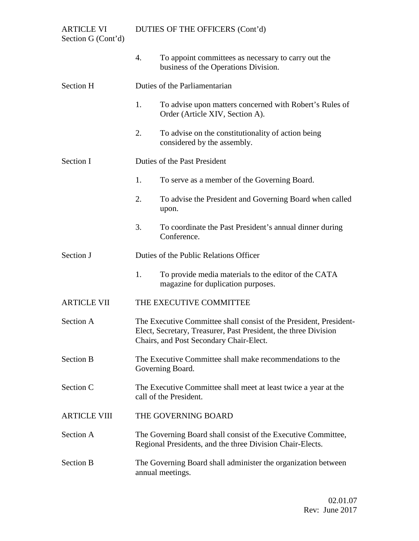| <b>ARTICLE VI</b><br>Section G (Cont'd) |                                                                                                                                                                                  | DUTIES OF THE OFFICERS (Cont'd)                                                                                            |  |
|-----------------------------------------|----------------------------------------------------------------------------------------------------------------------------------------------------------------------------------|----------------------------------------------------------------------------------------------------------------------------|--|
|                                         | $\overline{4}$ .                                                                                                                                                                 | To appoint committees as necessary to carry out the<br>business of the Operations Division.                                |  |
| Section H                               |                                                                                                                                                                                  | Duties of the Parliamentarian                                                                                              |  |
|                                         | 1.                                                                                                                                                                               | To advise upon matters concerned with Robert's Rules of<br>Order (Article XIV, Section A).                                 |  |
|                                         | 2.                                                                                                                                                                               | To advise on the constitutionality of action being<br>considered by the assembly.                                          |  |
| Section I                               |                                                                                                                                                                                  | Duties of the Past President                                                                                               |  |
|                                         | 1.                                                                                                                                                                               | To serve as a member of the Governing Board.                                                                               |  |
|                                         | 2.                                                                                                                                                                               | To advise the President and Governing Board when called<br>upon.                                                           |  |
|                                         | 3.                                                                                                                                                                               | To coordinate the Past President's annual dinner during<br>Conference.                                                     |  |
| Section J                               |                                                                                                                                                                                  | Duties of the Public Relations Officer                                                                                     |  |
|                                         | 1.                                                                                                                                                                               | To provide media materials to the editor of the CATA<br>magazine for duplication purposes.                                 |  |
| <b>ARTICLE VII</b>                      |                                                                                                                                                                                  | THE EXECUTIVE COMMITTEE                                                                                                    |  |
| Section A                               | The Executive Committee shall consist of the President, President-<br>Elect, Secretary, Treasurer, Past President, the three Division<br>Chairs, and Post Secondary Chair-Elect. |                                                                                                                            |  |
| <b>Section B</b>                        | The Executive Committee shall make recommendations to the<br>Governing Board.                                                                                                    |                                                                                                                            |  |
| Section C                               | The Executive Committee shall meet at least twice a year at the<br>call of the President.                                                                                        |                                                                                                                            |  |
| <b>ARTICLE VIII</b>                     |                                                                                                                                                                                  | THE GOVERNING BOARD                                                                                                        |  |
| Section A                               |                                                                                                                                                                                  | The Governing Board shall consist of the Executive Committee,<br>Regional Presidents, and the three Division Chair-Elects. |  |
| <b>Section B</b>                        |                                                                                                                                                                                  | The Governing Board shall administer the organization between<br>annual meetings.                                          |  |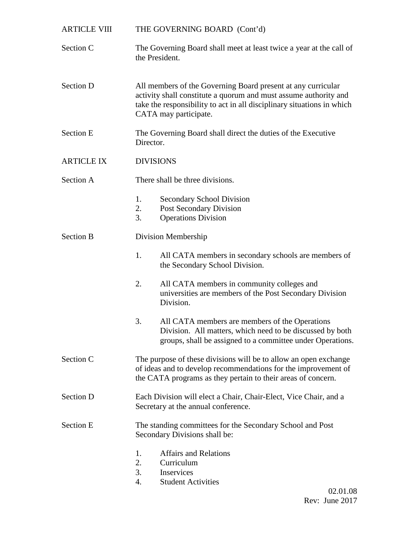| <b>ARTICLE VIII</b> | THE GOVERNING BOARD (Cont'd)                                                                                                                                                                                                        |  |
|---------------------|-------------------------------------------------------------------------------------------------------------------------------------------------------------------------------------------------------------------------------------|--|
| Section C           | The Governing Board shall meet at least twice a year at the call of<br>the President.                                                                                                                                               |  |
| Section D           | All members of the Governing Board present at any curricular<br>activity shall constitute a quorum and must assume authority and<br>take the responsibility to act in all disciplinary situations in which<br>CATA may participate. |  |
| <b>Section E</b>    | The Governing Board shall direct the duties of the Executive<br>Director.                                                                                                                                                           |  |
| <b>ARTICLE IX</b>   | <b>DIVISIONS</b>                                                                                                                                                                                                                    |  |
| Section A           | There shall be three divisions.                                                                                                                                                                                                     |  |
|                     | <b>Secondary School Division</b><br>1.<br>2.<br>Post Secondary Division<br>3.<br><b>Operations Division</b>                                                                                                                         |  |
| <b>Section B</b>    | Division Membership                                                                                                                                                                                                                 |  |
|                     | 1.<br>All CATA members in secondary schools are members of<br>the Secondary School Division.                                                                                                                                        |  |
|                     | 2.<br>All CATA members in community colleges and<br>universities are members of the Post Secondary Division<br>Division.                                                                                                            |  |
|                     | 3.<br>All CATA members are members of the Operations<br>Division. All matters, which need to be discussed by both<br>groups, shall be assigned to a committee under Operations.                                                     |  |
| Section C           | The purpose of these divisions will be to allow an open exchange<br>of ideas and to develop recommendations for the improvement of<br>the CATA programs as they pertain to their areas of concern.                                  |  |
| <b>Section D</b>    | Each Division will elect a Chair, Chair-Elect, Vice Chair, and a<br>Secretary at the annual conference.                                                                                                                             |  |
| <b>Section E</b>    | The standing committees for the Secondary School and Post<br>Secondary Divisions shall be:                                                                                                                                          |  |
|                     | <b>Affairs and Relations</b><br>1.<br>2.<br>Curriculum<br>3.<br>Inservices<br><b>Student Activities</b><br>4.                                                                                                                       |  |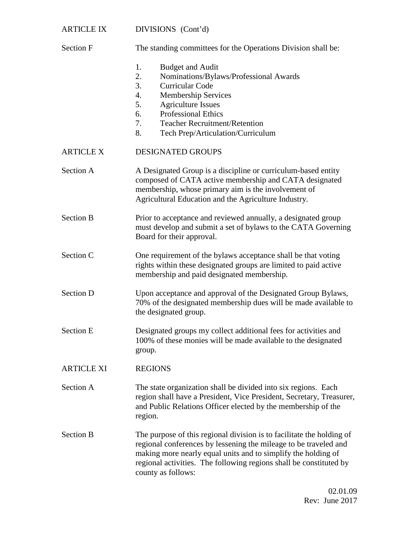# ARTICLE IX DIVISIONS (Cont'd)

| Section F         | The standing committees for the Operations Division shall be:                                                                                                                                                                                                                                                     |
|-------------------|-------------------------------------------------------------------------------------------------------------------------------------------------------------------------------------------------------------------------------------------------------------------------------------------------------------------|
|                   | 1.<br><b>Budget and Audit</b><br>2.<br>Nominations/Bylaws/Professional Awards<br>3.<br><b>Curricular Code</b><br>4.<br><b>Membership Services</b><br><b>Agriculture Issues</b><br>5.<br><b>Professional Ethics</b><br>6.<br><b>Teacher Recruitment/Retention</b><br>7.<br>8.<br>Tech Prep/Articulation/Curriculum |
| <b>ARTICLE X</b>  | <b>DESIGNATED GROUPS</b>                                                                                                                                                                                                                                                                                          |
| Section A         | A Designated Group is a discipline or curriculum-based entity<br>composed of CATA active membership and CATA designated<br>membership, whose primary aim is the involvement of<br>Agricultural Education and the Agriculture Industry.                                                                            |
| <b>Section B</b>  | Prior to acceptance and reviewed annually, a designated group<br>must develop and submit a set of bylaws to the CATA Governing<br>Board for their approval.                                                                                                                                                       |
| Section C         | One requirement of the bylaws acceptance shall be that voting<br>rights within these designated groups are limited to paid active<br>membership and paid designated membership.                                                                                                                                   |
| Section D         | Upon acceptance and approval of the Designated Group Bylaws,<br>70% of the designated membership dues will be made available to<br>the designated group.                                                                                                                                                          |
| <b>Section E</b>  | Designated groups my collect additional fees for activities and<br>100% of these monies will be made available to the designated<br>group.                                                                                                                                                                        |
| <b>ARTICLE XI</b> | <b>REGIONS</b>                                                                                                                                                                                                                                                                                                    |
| <b>Section A</b>  | The state organization shall be divided into six regions. Each<br>region shall have a President, Vice President, Secretary, Treasurer,<br>and Public Relations Officer elected by the membership of the<br>region.                                                                                                |
| <b>Section B</b>  | The purpose of this regional division is to facilitate the holding of<br>regional conferences by lessening the mileage to be traveled and<br>making more nearly equal units and to simplify the holding of<br>regional activities. The following regions shall be constituted by<br>county as follows:            |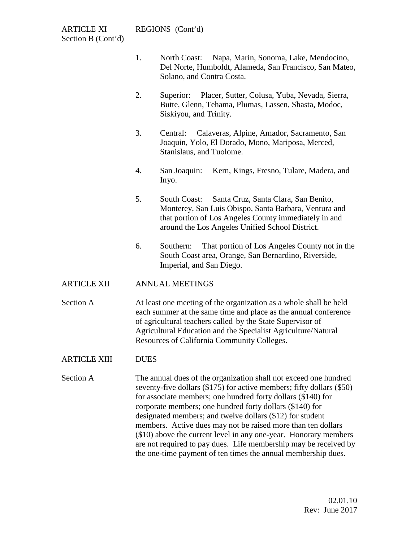- 1. North Coast: Napa, Marin, Sonoma, Lake, Mendocino, Del Norte, Humboldt, Alameda, San Francisco, San Mateo, Solano, and Contra Costa.
- 2. Superior: Placer, Sutter, Colusa, Yuba, Nevada, Sierra, Butte, Glenn, Tehama, Plumas, Lassen, Shasta, Modoc, Siskiyou, and Trinity.
- 3. Central: Calaveras, Alpine, Amador, Sacramento, San Joaquin, Yolo, El Dorado, Mono, Mariposa, Merced, Stanislaus, and Tuolome.
- 4. San Joaquin: Kern, Kings, Fresno, Tulare, Madera, and Inyo.
- 5. South Coast: Santa Cruz, Santa Clara, San Benito, Monterey, San Luis Obispo, Santa Barbara, Ventura and that portion of Los Angeles County immediately in and around the Los Angeles Unified School District.
- 6. Southern: That portion of Los Angeles County not in the South Coast area, Orange, San Bernardino, Riverside, Imperial, and San Diego.

#### ARTICLE XII ANNUAL MEETINGS

Section A **At least one meeting of the organization** as a whole shall be held each summer at the same time and place as the annual conference of agricultural teachers called by the State Supervisor of Agricultural Education and the Specialist Agriculture/Natural Resources of California Community Colleges.

### ARTICLE XIII DUES

Section A The annual dues of the organization shall not exceed one hundred seventy-five dollars (\$175) for active members; fifty dollars (\$50) for associate members; one hundred forty dollars (\$140) for corporate members; one hundred forty dollars (\$140) for designated members; and twelve dollars (\$12) for student members. Active dues may not be raised more than ten dollars (\$10) above the current level in any one-year. Honorary members are not required to pay dues. Life membership may be received by the one-time payment of ten times the annual membership dues.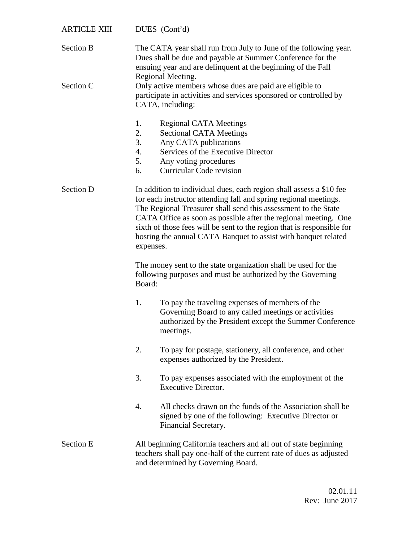| <b>ARTICLE XIII</b>           | DUES (Cont'd)                                                                                                                                                                                                                                                                                                                                                                                                                         |
|-------------------------------|---------------------------------------------------------------------------------------------------------------------------------------------------------------------------------------------------------------------------------------------------------------------------------------------------------------------------------------------------------------------------------------------------------------------------------------|
| <b>Section B</b><br>Section C | The CATA year shall run from July to June of the following year.<br>Dues shall be due and payable at Summer Conference for the<br>ensuing year and are delinquent at the beginning of the Fall<br>Regional Meeting.<br>Only active members whose dues are paid are eligible to                                                                                                                                                        |
|                               | participate in activities and services sponsored or controlled by<br>CATA, including:                                                                                                                                                                                                                                                                                                                                                 |
|                               | 1.<br><b>Regional CATA Meetings</b><br>2.<br><b>Sectional CATA Meetings</b><br>3.<br>Any CATA publications                                                                                                                                                                                                                                                                                                                            |
|                               | Services of the Executive Director<br>4.                                                                                                                                                                                                                                                                                                                                                                                              |
|                               | 5.<br>Any voting procedures                                                                                                                                                                                                                                                                                                                                                                                                           |
|                               | <b>Curricular Code revision</b><br>6.                                                                                                                                                                                                                                                                                                                                                                                                 |
| <b>Section D</b>              | In addition to individual dues, each region shall assess a \$10 fee<br>for each instructor attending fall and spring regional meetings.<br>The Regional Treasurer shall send this assessment to the State<br>CATA Office as soon as possible after the regional meeting. One<br>sixth of those fees will be sent to the region that is responsible for<br>hosting the annual CATA Banquet to assist with banquet related<br>expenses. |
|                               | The money sent to the state organization shall be used for the<br>following purposes and must be authorized by the Governing<br>Board:                                                                                                                                                                                                                                                                                                |
|                               | 1.<br>To pay the traveling expenses of members of the<br>Governing Board to any called meetings or activities<br>authorized by the President except the Summer Conference<br>meetings.                                                                                                                                                                                                                                                |
|                               | 2.<br>To pay for postage, stationery, all conference, and other<br>expenses authorized by the President.                                                                                                                                                                                                                                                                                                                              |
|                               | 3.<br>To pay expenses associated with the employment of the<br><b>Executive Director.</b>                                                                                                                                                                                                                                                                                                                                             |
|                               | All checks drawn on the funds of the Association shall be<br>4.<br>signed by one of the following: Executive Director or<br>Financial Secretary.                                                                                                                                                                                                                                                                                      |
| <b>Section E</b>              | All beginning California teachers and all out of state beginning<br>teachers shall pay one-half of the current rate of dues as adjusted<br>and determined by Governing Board.                                                                                                                                                                                                                                                         |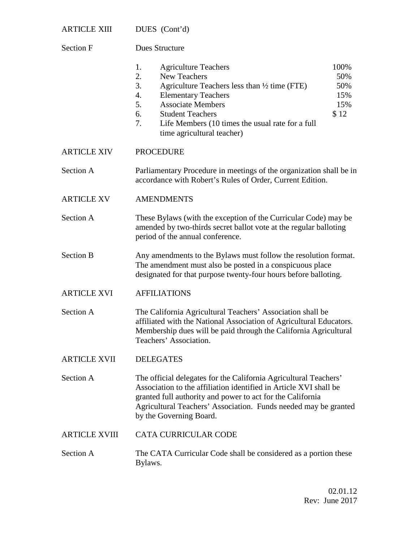| ARTICLE XIII |  | DUES (Cont'd) |
|--------------|--|---------------|
|--------------|--|---------------|

| Section F            | Dues Structure                                                                                                                                                                                                                                                                                                                                                   |
|----------------------|------------------------------------------------------------------------------------------------------------------------------------------------------------------------------------------------------------------------------------------------------------------------------------------------------------------------------------------------------------------|
|                      | 100%<br>1.<br><b>Agriculture Teachers</b><br>2.<br><b>New Teachers</b><br>50%<br>3.<br>Agriculture Teachers less than 1/2 time (FTE)<br>50%<br>4.<br><b>Elementary Teachers</b><br>15%<br><b>Associate Members</b><br>5.<br>15%<br>6.<br><b>Student Teachers</b><br>\$12<br>7.<br>Life Members (10 times the usual rate for a full<br>time agricultural teacher) |
| <b>ARTICLE XIV</b>   | <b>PROCEDURE</b>                                                                                                                                                                                                                                                                                                                                                 |
| Section A            | Parliamentary Procedure in meetings of the organization shall be in<br>accordance with Robert's Rules of Order, Current Edition.                                                                                                                                                                                                                                 |
| <b>ARTICLE XV</b>    | <b>AMENDMENTS</b>                                                                                                                                                                                                                                                                                                                                                |
| Section A            | These Bylaws (with the exception of the Curricular Code) may be<br>amended by two-thirds secret ballot vote at the regular balloting<br>period of the annual conference.                                                                                                                                                                                         |
| <b>Section B</b>     | Any amendments to the Bylaws must follow the resolution format.<br>The amendment must also be posted in a conspicuous place<br>designated for that purpose twenty-four hours before balloting.                                                                                                                                                                   |
| <b>ARTICLE XVI</b>   | <b>AFFILIATIONS</b>                                                                                                                                                                                                                                                                                                                                              |
| Section A            | The California Agricultural Teachers' Association shall be<br>affiliated with the National Association of Agricultural Educators.<br>Membership dues will be paid through the California Agricultural<br>Teachers' Association.                                                                                                                                  |
| <b>ARTICLE XVII</b>  | <b>DELEGATES</b>                                                                                                                                                                                                                                                                                                                                                 |
| Section A            | The official delegates for the California Agricultural Teachers'<br>Association to the affiliation identified in Article XVI shall be<br>granted full authority and power to act for the California<br>Agricultural Teachers' Association. Funds needed may be granted<br>by the Governing Board.                                                                |
| <b>ARTICLE XVIII</b> | <b>CATA CURRICULAR CODE</b>                                                                                                                                                                                                                                                                                                                                      |
| Section A            | The CATA Curricular Code shall be considered as a portion these<br>Bylaws.                                                                                                                                                                                                                                                                                       |